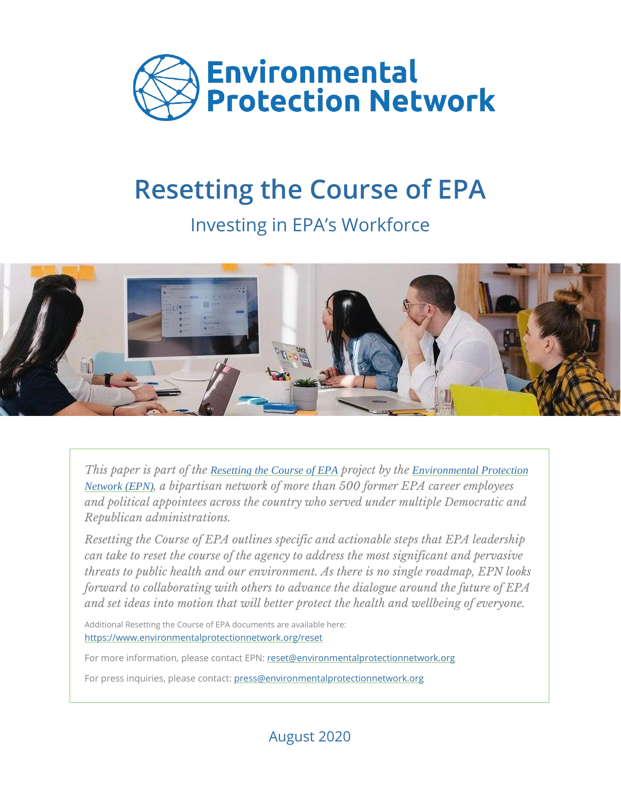

# **Resetting the Course of EPA**

Investing in EPA's Workforce



*This paper is part of the [Resetting the Course of EPA](http://environmentalprotectionnetwork.org/reset) project by the [Environmental Protection](http://environmentalprotectionnetwork.org/)  [Network \(EPN\)](http://environmentalprotectionnetwork.org/), a bipartisan network of more than 500 former EPA career employees and political appointees across the country who served under multiple Democratic and Republican administrations.*

*Resetting the Course of EPA outlines specific and actionable steps that EPA leadership can take to reset the course of the agency to address the most significant and pervasive threats to public health and our environment. As there is no single roadmap, EPN looks forward to collaborating with others to advance the dialogue around the future of EPA and set ideas into motion that will better protect the health and wellbeing of everyone.*

Additional Resetting the Course of EPA documents are available here: [https://www.environmentalprotectionnetwork.org/reset](https://www.environmentalprotectionnetwork.org/reset/)

For more information, please contact EPN[: reset@environmentalprotectionnetwork.org](mailto:reset@environmentalprotectionnetwork.org)

For press inquiries, please contact: [press@environmentalprotectionnetwork.org](mailto:press@environmentalprotectionnetwork.org)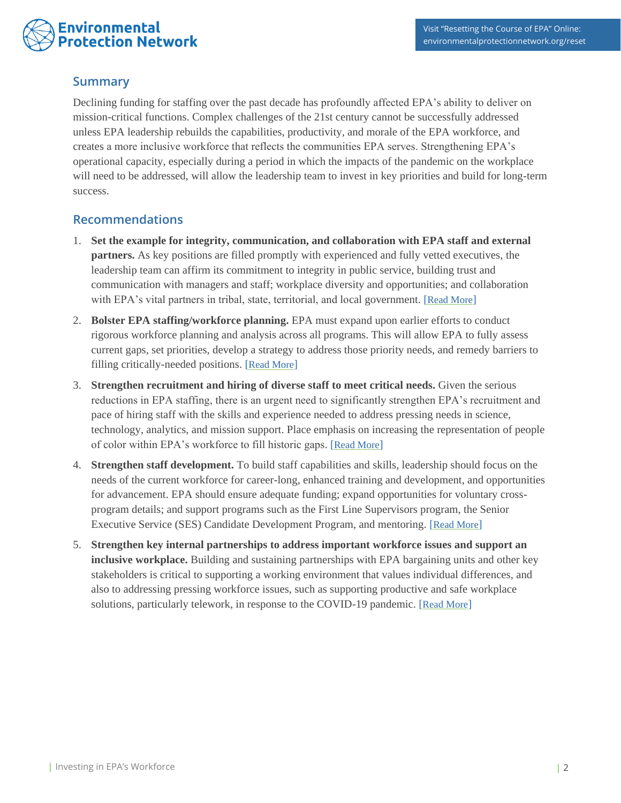# **Environmental Protection Network**

## **Summary**

Declining funding for staffing over the past decade has profoundly affected EPA's ability to deliver on mission-critical functions. Complex challenges of the 21st century cannot be successfully addressed unless EPA leadership rebuilds the capabilities, productivity, and morale of the EPA workforce, and creates a more inclusive workforce that reflects the communities EPA serves. Strengthening EPA's operational capacity, especially during a period in which the impacts of the pandemic on the workplace will need to be addressed, will allow the leadership team to invest in key priorities and build for long-term success.

## **Recommendations**

- 1. **Set the example for integrity, communication, and collaboration with EPA staff and external partners.** As key positions are filled promptly with experienced and fully vetted executives, the leadership team can affirm its commitment to integrity in public service, building trust and communication with managers and staff; workplace diversity and opportunities; and collaboration with EPA's vital partners in tribal, state, territorial, and local government. [[Read More](#page-2-0)]
- 2. **Bolster EPA staffing/workforce planning.** EPA must expand upon earlier efforts to conduct rigorous workforce planning and analysis across all programs. This will allow EPA to fully assess current gaps, set priorities, develop a strategy to address those priority needs, and remedy barriers to filling critically-needed positions. [[Read More](#page-2-1)]
- 3. **Strengthen recruitment and hiring of diverse staff to meet critical needs.** Given the serious reductions in EPA staffing, there is an urgent need to significantly strengthen EPA's recruitment and pace of hiring staff with the skills and experience needed to address pressing needs in science, technology, analytics, and mission support. Place emphasis on increasing the representation of people of color within EPA's workforce to fill historic gaps. [[Read More](#page-4-0)]
- 4. **Strengthen staff development.** To build staff capabilities and skills, leadership should focus on the needs of the current workforce for career-long, enhanced training and development, and opportunities for advancement. EPA should ensure adequate funding; expand opportunities for voluntary crossprogram details; and support programs such as the First Line Supervisors program, the Senior Executive Service (SES) Candidate Development Program, and mentoring. [[Read More](#page-5-0)]
- 5. **Strengthen key internal partnerships to address important workforce issues and support an inclusive workplace.** Building and sustaining partnerships with EPA bargaining units and other key stakeholders is critical to supporting a working environment that values individual differences, and also to addressing pressing workforce issues, such as supporting productive and safe workplace solutions, particularly telework, in response to the COVID-19 pandemic. [[Read More](#page-6-0)]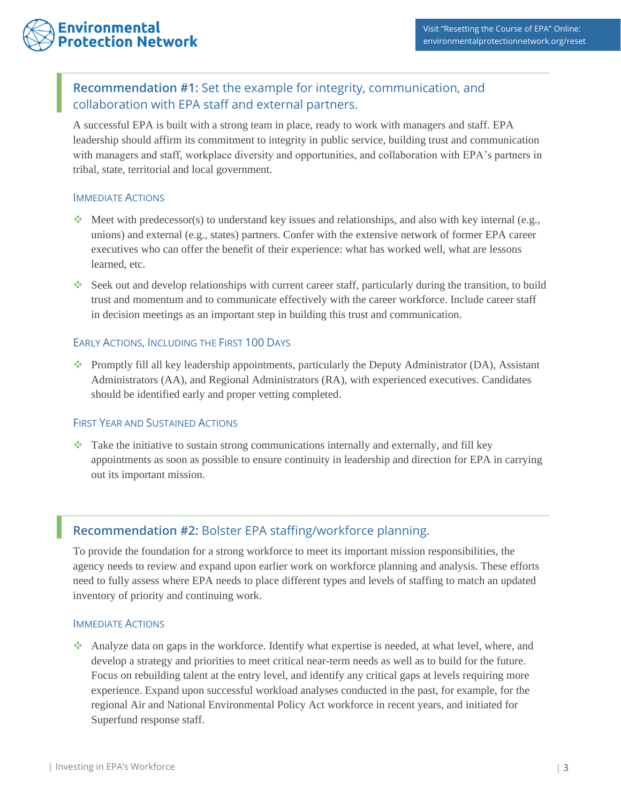# <span id="page-2-0"></span>**Recommendation #1:** Set the example for integrity, communication, and collaboration with EPA staff and external partners.

A successful EPA is built with a strong team in place, ready to work with managers and staff. EPA leadership should affirm its commitment to integrity in public service, building trust and communication with managers and staff, workplace diversity and opportunities, and collaboration with EPA's partners in tribal, state, territorial and local government.

## IMMEDIATE ACTIONS

- $\bullet\bullet\text{ Meet with predecessor(s) to understand key issues and relationships, and also with key internal (e.g., }$ unions) and external (e.g., states) partners. Confer with the extensive network of former EPA career executives who can offer the benefit of their experience: what has worked well, what are lessons learned, etc.
- ❖ Seek out and develop relationships with current career staff, particularly during the transition, to build trust and momentum and to communicate effectively with the career workforce. Include career staff in decision meetings as an important step in building this trust and communication.

## EARLY ACTIONS, INCLUDING THE FIRST 100 DAYS

❖ Promptly fill all key leadership appointments, particularly the Deputy Administrator (DA), Assistant Administrators (AA), and Regional Administrators (RA), with experienced executives. Candidates should be identified early and proper vetting completed.

## FIRST YEAR AND SUSTAINED ACTIONS

❖ Take the initiative to sustain strong communications internally and externally, and fill key appointments as soon as possible to ensure continuity in leadership and direction for EPA in carrying out its important mission.

## <span id="page-2-1"></span>**Recommendation #2:** Bolster EPA staffing/workforce planning.

To provide the foundation for a strong workforce to meet its important mission responsibilities, the agency needs to review and expand upon earlier work on workforce planning and analysis. These efforts need to fully assess where EPA needs to place different types and levels of staffing to match an updated inventory of priority and continuing work.

#### IMMEDIATE ACTIONS

❖ Analyze data on gaps in the workforce. Identify what expertise is needed, at what level, where, and develop a strategy and priorities to meet critical near-term needs as well as to build for the future. Focus on rebuilding talent at the entry level, and identify any critical gaps at levels requiring more experience. Expand upon successful workload analyses conducted in the past, for example, for the regional Air and National Environmental Policy Act workforce in recent years, and initiated for Superfund response staff.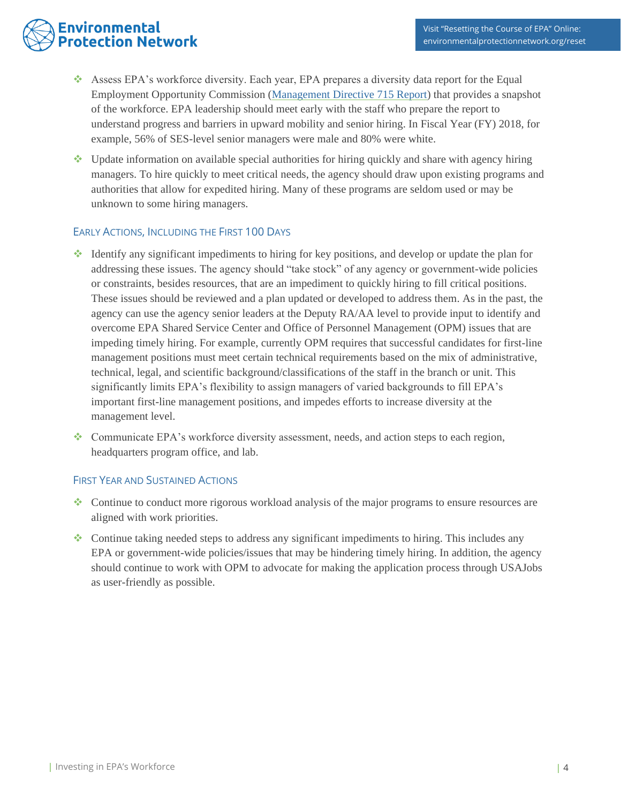# **Environmental Protection Network**

- ❖ Assess EPA's workforce diversity. Each year, EPA prepares a diversity data report for the Equal Employment Opportunity Commission [\(Management Directive 715 Report\)](https://www.epa.gov/ocr/fy-2018-management-directive-715-md-715-report-submitted-epa-equal-employment-opportunity) that provides a snapshot of the workforce. EPA leadership should meet early with the staff who prepare the report to understand progress and barriers in upward mobility and senior hiring. In Fiscal Year (FY) 2018, for example, 56% of SES-level senior managers were male and 80% were white.
- ❖ Update information on available special authorities for hiring quickly and share with agency hiring managers. To hire quickly to meet critical needs, the agency should draw upon existing programs and authorities that allow for expedited hiring. Many of these programs are seldom used or may be unknown to some hiring managers.

## EARLY ACTIONS, INCLUDING THE FIRST 100 DAYS

- ❖ Identify any significant impediments to hiring for key positions, and develop or update the plan for addressing these issues. The agency should "take stock" of any agency or government-wide policies or constraints, besides resources, that are an impediment to quickly hiring to fill critical positions. These issues should be reviewed and a plan updated or developed to address them. As in the past, the agency can use the agency senior leaders at the Deputy RA/AA level to provide input to identify and overcome EPA Shared Service Center and Office of Personnel Management (OPM) issues that are impeding timely hiring. For example, currently OPM requires that successful candidates for first-line management positions must meet certain technical requirements based on the mix of administrative, technical, legal, and scientific background/classifications of the staff in the branch or unit. This significantly limits EPA's flexibility to assign managers of varied backgrounds to fill EPA's important first-line management positions, and impedes efforts to increase diversity at the management level.
- ❖ Communicate EPA's workforce diversity assessment, needs, and action steps to each region, headquarters program office, and lab.

## FIRST YEAR AND SUSTAINED ACTIONS

- ❖ Continue to conduct more rigorous workload analysis of the major programs to ensure resources are aligned with work priorities.
- Continue taking needed steps to address any significant impediments to hiring. This includes any EPA or government-wide policies/issues that may be hindering timely hiring. In addition, the agency should continue to work with OPM to advocate for making the application process through USAJobs as user-friendly as possible.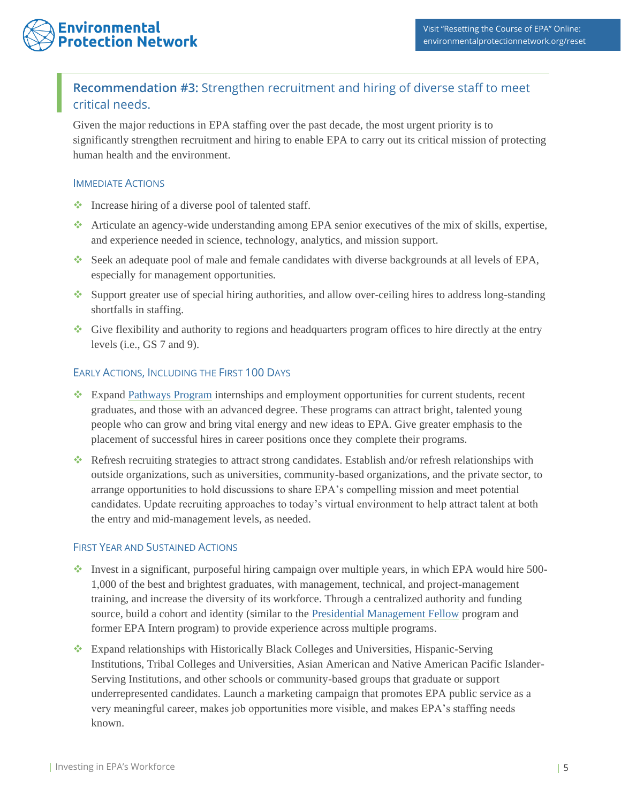# <span id="page-4-0"></span>**Recommendation #3:** Strengthen recruitment and hiring of diverse staff to meet critical needs.

Given the major reductions in EPA staffing over the past decade, the most urgent priority is to significantly strengthen recruitment and hiring to enable EPA to carry out its critical mission of protecting human health and the environment.

## IMMEDIATE ACTIONS

- ❖ Increase hiring of a diverse pool of talented staff.
- ❖ Articulate an agency-wide understanding among EPA senior executives of the mix of skills, expertise, and experience needed in science, technology, analytics, and mission support.
- ❖ Seek an adequate pool of male and female candidates with diverse backgrounds at all levels of EPA, especially for management opportunities.
- ❖ Support greater use of special hiring authorities, and allow over-ceiling hires to address long-standing shortfalls in staffing.
- ❖ Give flexibility and authority to regions and headquarters program offices to hire directly at the entry levels (i.e., GS 7 and 9).

## EARLY ACTIONS, INCLUDING THE FIRST 100 DAYS

- ❖ Expand [Pathways Program](https://www.usajobs.gov/Help/working-in-government/unique-hiring-paths/students/) internships and employment opportunities for current students, recent graduates, and those with an advanced degree. These programs can attract bright, talented young people who can grow and bring vital energy and new ideas to EPA. Give greater emphasis to the placement of successful hires in career positions once they complete their programs.
- ❖ Refresh recruiting strategies to attract strong candidates. Establish and/or refresh relationships with outside organizations, such as universities, community-based organizations, and the private sector, to arrange opportunities to hold discussions to share EPA's compelling mission and meet potential candidates. Update recruiting approaches to today's virtual environment to help attract talent at both the entry and mid-management levels, as needed.

## FIRST YEAR AND SUSTAINED ACTIONS

- ❖ Invest in a significant, purposeful hiring campaign over multiple years, in which EPA would hire 500- 1,000 of the best and brightest graduates, with management, technical, and project-management training, and increase the diversity of its workforce. Through a centralized authority and funding source, build a cohort and identity (similar to the [Presidential Management Fellow](https://www.pmf.gov/) program and former EPA Intern program) to provide experience across multiple programs.
- ❖ Expand relationships with Historically Black Colleges and Universities, Hispanic-Serving Institutions, Tribal Colleges and Universities, Asian American and Native American Pacific Islander-Serving Institutions, and other schools or community-based groups that graduate or support underrepresented candidates. Launch a marketing campaign that promotes EPA public service as a very meaningful career, makes job opportunities more visible, and makes EPA's staffing needs known.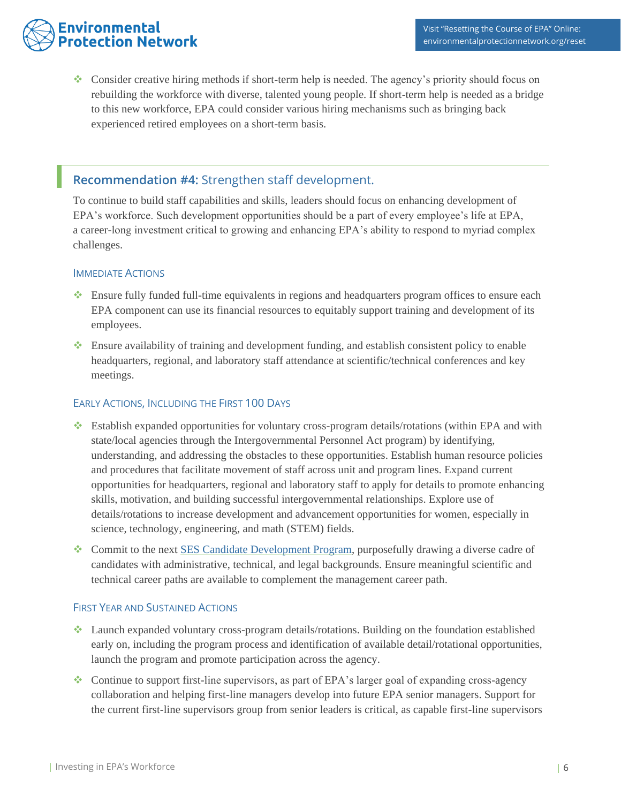# **Environmental Protection Network**

❖ Consider creative hiring methods if short-term help is needed. The agency's priority should focus on rebuilding the workforce with diverse, talented young people. If short-term help is needed as a bridge to this new workforce, EPA could consider various hiring mechanisms such as bringing back experienced retired employees on a short-term basis.

## <span id="page-5-0"></span>**Recommendation #4:** Strengthen staff development.

To continue to build staff capabilities and skills, leaders should focus on enhancing development of EPA's workforce. Such development opportunities should be a part of every employee's life at EPA, a career-long investment critical to growing and enhancing EPA's ability to respond to myriad complex challenges.

## IMMEDIATE ACTIONS

- ❖ Ensure fully funded full-time equivalents in regions and headquarters program offices to ensure each EPA component can use its financial resources to equitably support training and development of its employees.
- ❖ Ensure availability of training and development funding, and establish consistent policy to enable headquarters, regional, and laboratory staff attendance at scientific/technical conferences and key meetings.

## EARLY ACTIONS, INCLUDING THE FIRST 100 DAYS

- ❖ Establish expanded opportunities for voluntary cross-program details/rotations (within EPA and with state/local agencies through the Intergovernmental Personnel Act program) by identifying, understanding, and addressing the obstacles to these opportunities. Establish human resource policies and procedures that facilitate movement of staff across unit and program lines. Expand current opportunities for headquarters, regional and laboratory staff to apply for details to promote enhancing skills, motivation, and building successful intergovernmental relationships. Explore use of details/rotations to increase development and advancement opportunities for women, especially in science, technology, engineering, and math (STEM) fields.
- ❖ Commit to the next [SES Candidate Development Program,](https://www.opm.gov/policy-data-oversight/senior-executive-service/candidate-development-programs/) purposefully drawing a diverse cadre of candidates with administrative, technical, and legal backgrounds. Ensure meaningful scientific and technical career paths are available to complement the management career path.

## FIRST YEAR AND SUSTAINED ACTIONS

- ❖ Launch expanded voluntary cross-program details/rotations. Building on the foundation established early on, including the program process and identification of available detail/rotational opportunities, launch the program and promote participation across the agency.
- ❖ Continue to support first-line supervisors, as part of EPA's larger goal of expanding cross-agency collaboration and helping first-line managers develop into future EPA senior managers. Support for the current first-line supervisors group from senior leaders is critical, as capable first-line supervisors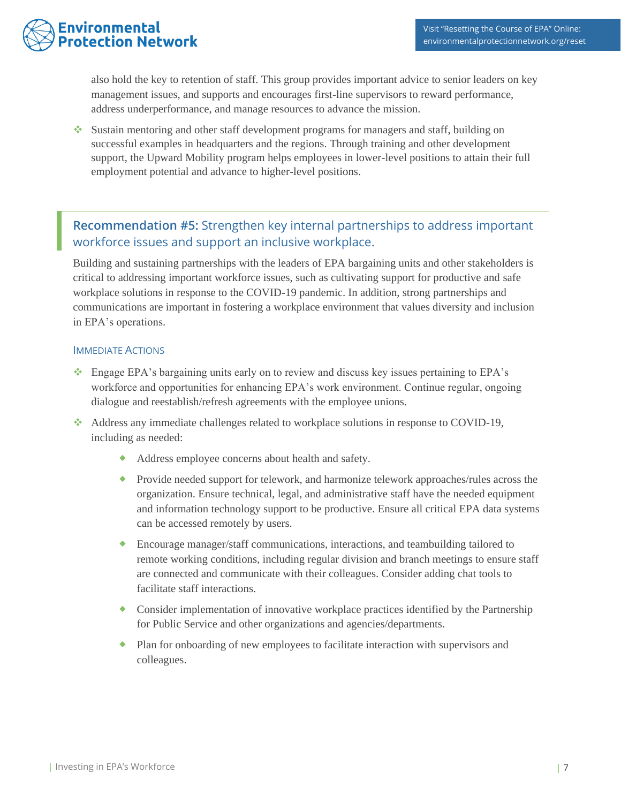

also hold the key to retention of staff. This group provides important advice to senior leaders on key management issues, and supports and encourages first-line supervisors to reward performance, address underperformance, and manage resources to advance the mission.

❖ Sustain mentoring and other staff development programs for managers and staff, building on successful examples in headquarters and the regions. Through training and other development support, the Upward Mobility program helps employees in lower-level positions to attain their full employment potential and advance to higher-level positions.

# <span id="page-6-0"></span>**Recommendation #5:** Strengthen key internal partnerships to address important workforce issues and support an inclusive workplace.

Building and sustaining partnerships with the leaders of EPA bargaining units and other stakeholders is critical to addressing important workforce issues, such as cultivating support for productive and safe workplace solutions in response to the COVID-19 pandemic. In addition, strong partnerships and communications are important in fostering a workplace environment that values diversity and inclusion in EPA's operations.

#### IMMEDIATE ACTIONS

- ❖ Engage EPA's bargaining units early on to review and discuss key issues pertaining to EPA's workforce and opportunities for enhancing EPA's work environment. Continue regular, ongoing dialogue and reestablish/refresh agreements with the employee unions.
- ❖ Address any immediate challenges related to workplace solutions in response to COVID-19, including as needed:
	- Address employee concerns about health and safety.
	- **Provide needed support for telework, and harmonize telework approaches/rules across the** organization. Ensure technical, legal, and administrative staff have the needed equipment and information technology support to be productive. Ensure all critical EPA data systems can be accessed remotely by users.
	- Encourage manager/staff communications, interactions, and teambuilding tailored to remote working conditions, including regular division and branch meetings to ensure staff are connected and communicate with their colleagues. Consider adding chat tools to facilitate staff interactions.
	- Consider implementation of innovative workplace practices identified by the Partnership for Public Service and other organizations and agencies/departments.
	- Plan for onboarding of new employees to facilitate interaction with supervisors and colleagues.